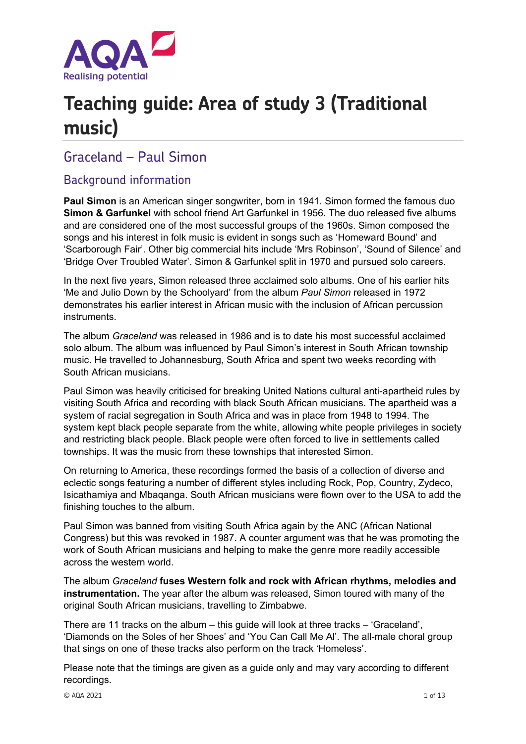

# **Teaching guide: Area of study 3 (Traditional music)**

## Graceland – Paul Simon

### Background information

**Paul Simon** is an American singer songwriter, born in 1941. Simon formed the famous duo **Simon & Garfunkel** with school friend Art Garfunkel in 1956. The duo released five albums and are considered one of the most successful groups of the 1960s. Simon composed the songs and his interest in folk music is evident in songs such as 'Homeward Bound' and 'Scarborough Fair'. Other big commercial hits include 'Mrs Robinson', 'Sound of Silence' and 'Bridge Over Troubled Water'. Simon & Garfunkel split in 1970 and pursued solo careers.

In the next five years, Simon released three acclaimed solo albums. One of his earlier hits 'Me and Julio Down by the Schoolyard' from the album *Paul Simon* released in 1972 demonstrates his earlier interest in African music with the inclusion of African percussion instruments.

The album *Graceland* was released in 1986 and is to date his most successful acclaimed solo album. The album was influenced by Paul Simon's interest in South African township music. He travelled to Johannesburg, South Africa and spent two weeks recording with South African musicians.

Paul Simon was heavily criticised for breaking United Nations cultural anti-apartheid rules by visiting South Africa and recording with black South African musicians. The apartheid was a system of racial segregation in South Africa and was in place from 1948 to 1994. The system kept black people separate from the white, allowing white people privileges in society and restricting black people. Black people were often forced to live in settlements called townships. It was the music from these townships that interested Simon.

On returning to America, these recordings formed the basis of a collection of diverse and eclectic songs featuring a number of different styles including Rock, Pop, Country, Zydeco, Isicathamiya and Mbaqanga. South African musicians were flown over to the USA to add the finishing touches to the album.

Paul Simon was banned from visiting South Africa again by the ANC (African National Congress) but this was revoked in 1987. A counter argument was that he was promoting the work of South African musicians and helping to make the genre more readily accessible across the western world.

The album *Graceland* **fuses Western folk and rock with African rhythms, melodies and instrumentation.** The year after the album was released, Simon toured with many of the original South African musicians, travelling to Zimbabwe.

There are 11 tracks on the album – this guide will look at three tracks – 'Graceland', 'Diamonds on the Soles of her Shoes' and 'You Can Call Me Al'. The all-male choral group that sings on one of these tracks also perform on the track 'Homeless'.

Please note that the timings are given as a guide only and may vary according to different recordings.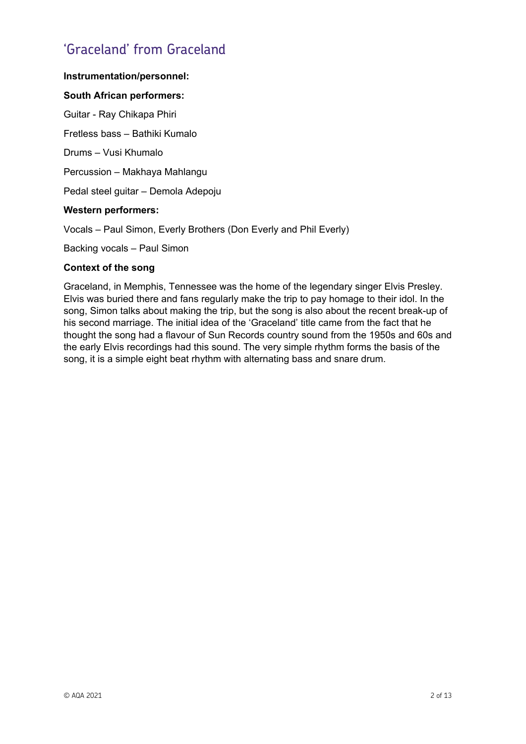# 'Graceland' from Graceland

#### **Instrumentation/personnel:**

#### **South African performers:**

Guitar - Ray Chikapa Phiri

Fretless bass – Bathiki Kumalo

Drums – Vusi Khumalo

Percussion – Makhaya Mahlangu

Pedal steel guitar – Demola Adepoju

#### **Western performers:**

Vocals – Paul Simon, Everly Brothers (Don Everly and Phil Everly)

Backing vocals – Paul Simon

#### **Context of the song**

Graceland, in Memphis, Tennessee was the home of the legendary singer Elvis Presley. Elvis was buried there and fans regularly make the trip to pay homage to their idol. In the song, Simon talks about making the trip, but the song is also about the recent break-up of his second marriage. The initial idea of the 'Graceland' title came from the fact that he thought the song had a flavour of Sun Records country sound from the 1950s and 60s and the early Elvis recordings had this sound. The very simple rhythm forms the basis of the song, it is a simple eight beat rhythm with alternating bass and snare drum.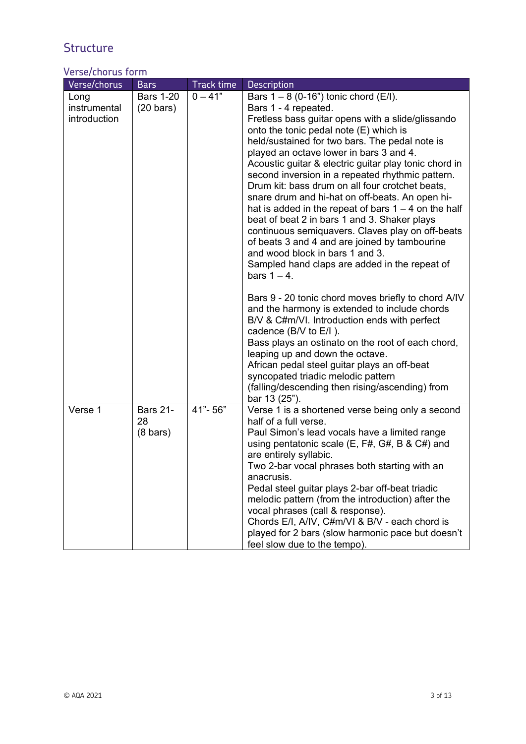# **Structure**

### Verse/chorus form

| Verse/chorus                         | <b>Bars</b>                                 | <b>Track time</b> | <b>Description</b>                                                                                                                                                                                                                                                                                                                                                                                                                                                                                                                                                                                                                                                                                                                                                                                                                                                                                                                                                                   |
|--------------------------------------|---------------------------------------------|-------------------|--------------------------------------------------------------------------------------------------------------------------------------------------------------------------------------------------------------------------------------------------------------------------------------------------------------------------------------------------------------------------------------------------------------------------------------------------------------------------------------------------------------------------------------------------------------------------------------------------------------------------------------------------------------------------------------------------------------------------------------------------------------------------------------------------------------------------------------------------------------------------------------------------------------------------------------------------------------------------------------|
| Long<br>instrumental<br>introduction | <b>Bars 1-20</b><br>$(20 \text{ bars})$     | $0 - 41"$         | Bars $1 - 8$ (0-16") tonic chord (E/I).<br>Bars 1 - 4 repeated.<br>Fretless bass guitar opens with a slide/glissando<br>onto the tonic pedal note (E) which is<br>held/sustained for two bars. The pedal note is<br>played an octave lower in bars 3 and 4.<br>Acoustic guitar & electric guitar play tonic chord in<br>second inversion in a repeated rhythmic pattern.<br>Drum kit: bass drum on all four crotchet beats,<br>snare drum and hi-hat on off-beats. An open hi-<br>hat is added in the repeat of bars $1 - 4$ on the half<br>beat of beat 2 in bars 1 and 3. Shaker plays<br>continuous semiquavers. Claves play on off-beats<br>of beats 3 and 4 and are joined by tambourine<br>and wood block in bars 1 and 3.<br>Sampled hand claps are added in the repeat of<br>bars $1 - 4$ .<br>Bars 9 - 20 tonic chord moves briefly to chord A/IV<br>and the harmony is extended to include chords<br>B/V & C#m/VI. Introduction ends with perfect<br>cadence (B/V to E/I). |
|                                      |                                             |                   | Bass plays an ostinato on the root of each chord,<br>leaping up and down the octave.<br>African pedal steel guitar plays an off-beat<br>syncopated triadic melodic pattern<br>(falling/descending then rising/ascending) from                                                                                                                                                                                                                                                                                                                                                                                                                                                                                                                                                                                                                                                                                                                                                        |
| Verse 1                              | <b>Bars 21-</b><br>28<br>$(8 \text{ bars})$ | 41"-56"           | bar 13 (25").<br>Verse 1 is a shortened verse being only a second<br>half of a full verse.<br>Paul Simon's lead vocals have a limited range<br>using pentatonic scale $(E, F#, G#, B &E#)$ and<br>are entirely syllabic.<br>Two 2-bar vocal phrases both starting with an<br>anacrusis.<br>Pedal steel guitar plays 2-bar off-beat triadic<br>melodic pattern (from the introduction) after the<br>vocal phrases (call & response).<br>Chords E/I, A/IV, C#m/VI & B/V - each chord is<br>played for 2 bars (slow harmonic pace but doesn't<br>feel slow due to the tempo).                                                                                                                                                                                                                                                                                                                                                                                                           |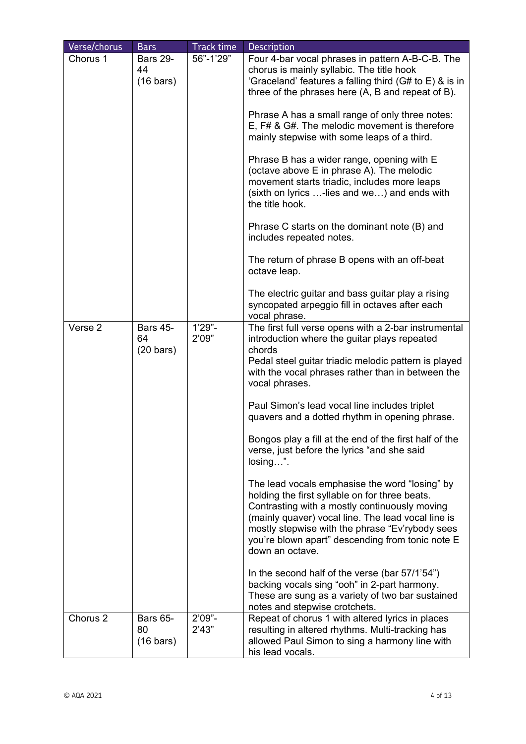| Verse/chorus        | <b>Bars</b>                                  | <b>Track time</b>  | <b>Description</b>                                                                                                                                                                                                                                                                                                                                                                                                                                                                                                                                                                                                                                                                                                                                                                                                                                                                                                                                                                                                    |
|---------------------|----------------------------------------------|--------------------|-----------------------------------------------------------------------------------------------------------------------------------------------------------------------------------------------------------------------------------------------------------------------------------------------------------------------------------------------------------------------------------------------------------------------------------------------------------------------------------------------------------------------------------------------------------------------------------------------------------------------------------------------------------------------------------------------------------------------------------------------------------------------------------------------------------------------------------------------------------------------------------------------------------------------------------------------------------------------------------------------------------------------|
| Chorus 1            | <b>Bars 29-</b><br>44<br>$(16 \text{ bars})$ | 56"-1'29"          | Four 4-bar vocal phrases in pattern A-B-C-B. The<br>chorus is mainly syllabic. The title hook<br>'Graceland' features a falling third (G# to E) & is in<br>three of the phrases here (A, B and repeat of B).<br>Phrase A has a small range of only three notes:<br>E, F# & G#. The melodic movement is therefore<br>mainly stepwise with some leaps of a third.<br>Phrase B has a wider range, opening with E<br>(octave above E in phrase A). The melodic<br>movement starts triadic, includes more leaps<br>(sixth on lyrics -lies and we) and ends with<br>the title hook.<br>Phrase C starts on the dominant note (B) and<br>includes repeated notes.<br>The return of phrase B opens with an off-beat<br>octave leap.<br>The electric guitar and bass guitar play a rising<br>syncopated arpeggio fill in octaves after each                                                                                                                                                                                     |
| Verse 2             | <b>Bars 45-</b><br>64<br>$(20 \text{ bars})$ | $1'29" -$<br>2'09" | vocal phrase.<br>The first full verse opens with a 2-bar instrumental<br>introduction where the guitar plays repeated<br>chords<br>Pedal steel guitar triadic melodic pattern is played<br>with the vocal phrases rather than in between the<br>vocal phrases.<br>Paul Simon's lead vocal line includes triplet<br>quavers and a dotted rhythm in opening phrase.<br>Bongos play a fill at the end of the first half of the<br>verse, just before the lyrics "and she said<br>$losing$ ".<br>The lead vocals emphasise the word "losing" by<br>holding the first syllable on for three beats.<br>Contrasting with a mostly continuously moving<br>(mainly quaver) vocal line. The lead vocal line is<br>mostly stepwise with the phrase "Ev'rybody sees<br>you're blown apart" descending from tonic note E<br>down an octave.<br>In the second half of the verse (bar 57/1'54")<br>backing vocals sing "ooh" in 2-part harmony.<br>These are sung as a variety of two bar sustained<br>notes and stepwise crotchets. |
| Chorus <sub>2</sub> | <b>Bars 65-</b><br>80<br>$(16 \text{ bars})$ | $2'09" -$<br>2'43" | Repeat of chorus 1 with altered lyrics in places<br>resulting in altered rhythms. Multi-tracking has<br>allowed Paul Simon to sing a harmony line with<br>his lead vocals.                                                                                                                                                                                                                                                                                                                                                                                                                                                                                                                                                                                                                                                                                                                                                                                                                                            |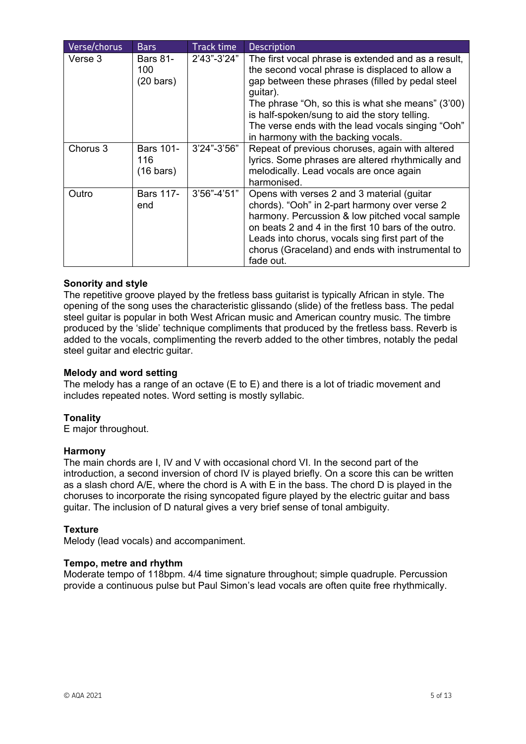| Verse/chorus | <b>Bars</b>                                    | Track time      | <b>Description</b>                                                                                                                                                                                                                                                                                                                                                       |
|--------------|------------------------------------------------|-----------------|--------------------------------------------------------------------------------------------------------------------------------------------------------------------------------------------------------------------------------------------------------------------------------------------------------------------------------------------------------------------------|
| Verse 3      | <b>Bars 81-</b><br>100<br>$(20 \text{ bars})$  | $2'43''-3'24"$  | The first vocal phrase is extended and as a result,<br>the second vocal phrase is displaced to allow a<br>gap between these phrases (filled by pedal steel<br>guitar).<br>The phrase "Oh, so this is what she means" (3'00)<br>is half-spoken/sung to aid the story telling.<br>The verse ends with the lead vocals singing "Ooh"<br>in harmony with the backing vocals. |
| Chorus 3     | <b>Bars 101-</b><br>116<br>$(16 \text{ bars})$ | $3'24" - 3'56"$ | Repeat of previous choruses, again with altered<br>lyrics. Some phrases are altered rhythmically and<br>melodically. Lead vocals are once again<br>harmonised.                                                                                                                                                                                                           |
| Outro        | <b>Bars 117-</b><br>end                        | $3'56" - 4'51"$ | Opens with verses 2 and 3 material (guitar<br>chords). "Ooh" in 2-part harmony over verse 2<br>harmony. Percussion & low pitched vocal sample<br>on beats 2 and 4 in the first 10 bars of the outro.<br>Leads into chorus, vocals sing first part of the<br>chorus (Graceland) and ends with instrumental to<br>fade out.                                                |

#### **Sonority and style**

The repetitive groove played by the fretless bass guitarist is typically African in style. The opening of the song uses the characteristic glissando (slide) of the fretless bass. The pedal steel guitar is popular in both West African music and American country music. The timbre produced by the 'slide' technique compliments that produced by the fretless bass. Reverb is added to the vocals, complimenting the reverb added to the other timbres, notably the pedal steel guitar and electric guitar.

#### **Melody and word setting**

The melody has a range of an octave (E to E) and there is a lot of triadic movement and includes repeated notes. Word setting is mostly syllabic.

#### **Tonality**

E major throughout.

#### **Harmony**

The main chords are I, IV and V with occasional chord VI. In the second part of the introduction, a second inversion of chord IV is played briefly. On a score this can be written as a slash chord A/E, where the chord is A with E in the bass. The chord D is played in the choruses to incorporate the rising syncopated figure played by the electric guitar and bass guitar. The inclusion of D natural gives a very brief sense of tonal ambiguity.

#### **Texture**

Melody (lead vocals) and accompaniment.

#### **Tempo, metre and rhythm**

Moderate tempo of 118bpm. 4/4 time signature throughout; simple quadruple. Percussion provide a continuous pulse but Paul Simon's lead vocals are often quite free rhythmically.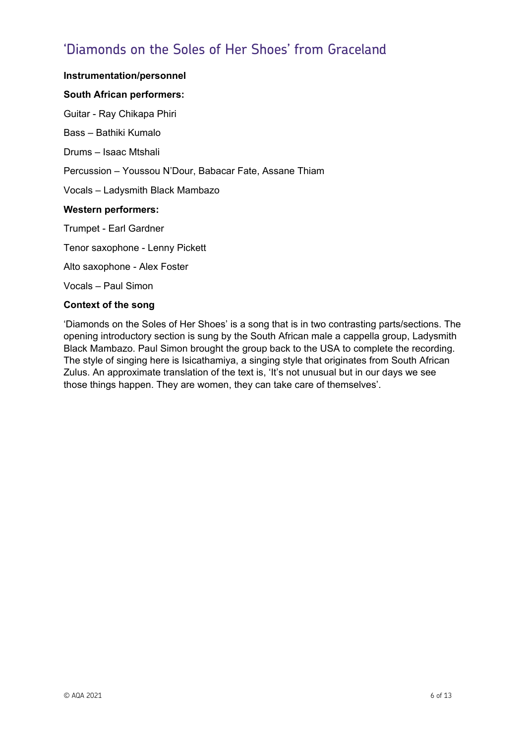# 'Diamonds on the Soles of Her Shoes' from Graceland

#### **Instrumentation/personnel**

#### **South African performers:**

Guitar - Ray Chikapa Phiri

Bass – Bathiki Kumalo

Drums – Isaac Mtshali

Percussion – Youssou N'Dour, Babacar Fate, Assane Thiam

Vocals – Ladysmith Black Mambazo

#### **Western performers:**

Trumpet - Earl Gardner

Tenor saxophone - Lenny Pickett

Alto saxophone - Alex Foster

Vocals – Paul Simon

#### **Context of the song**

'Diamonds on the Soles of Her Shoes' is a song that is in two contrasting parts/sections. The opening introductory section is sung by the South African male a cappella group, Ladysmith Black Mambazo. Paul Simon brought the group back to the USA to complete the recording. The style of singing here is Isicathamiya, a singing style that originates from South African Zulus. An approximate translation of the text is, 'It's not unusual but in our days we see those things happen. They are women, they can take care of themselves'.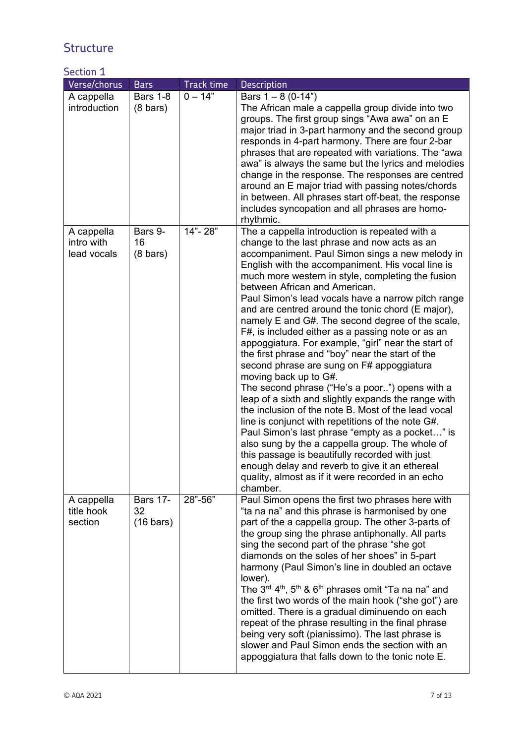## **Structure**

### Section 1

| Verse/chorus                            | <b>Bars</b>                                  | <b>Track time</b> | Description                                                                                                                                                                                                                                                                                                                                                                                                                                                                                                                                                                                                                                                                                                                                                                                                                                                                                                                                                                                                                                                                                                                                                                                       |
|-----------------------------------------|----------------------------------------------|-------------------|---------------------------------------------------------------------------------------------------------------------------------------------------------------------------------------------------------------------------------------------------------------------------------------------------------------------------------------------------------------------------------------------------------------------------------------------------------------------------------------------------------------------------------------------------------------------------------------------------------------------------------------------------------------------------------------------------------------------------------------------------------------------------------------------------------------------------------------------------------------------------------------------------------------------------------------------------------------------------------------------------------------------------------------------------------------------------------------------------------------------------------------------------------------------------------------------------|
| A cappella<br>introduction              | <b>Bars 1-8</b><br>$(8 \text{ bars})$        | $0 - 14"$         | Bars $1 - 8$ (0-14")<br>The African male a cappella group divide into two<br>groups. The first group sings "Awa awa" on an E<br>major triad in 3-part harmony and the second group<br>responds in 4-part harmony. There are four 2-bar<br>phrases that are repeated with variations. The "awa<br>awa" is always the same but the lyrics and melodies<br>change in the response. The responses are centred<br>around an E major triad with passing notes/chords<br>in between. All phrases start off-beat, the response<br>includes syncopation and all phrases are homo-<br>rhythmic.                                                                                                                                                                                                                                                                                                                                                                                                                                                                                                                                                                                                             |
| A cappella<br>intro with<br>lead vocals | Bars 9-<br>16<br>$(8 \text{ bars})$          | 14"-28"           | The a cappella introduction is repeated with a<br>change to the last phrase and now acts as an<br>accompaniment. Paul Simon sings a new melody in<br>English with the accompaniment. His vocal line is<br>much more western in style, completing the fusion<br>between African and American.<br>Paul Simon's lead vocals have a narrow pitch range<br>and are centred around the tonic chord (E major),<br>namely E and G#. The second degree of the scale,<br>F#, is included either as a passing note or as an<br>appoggiatura. For example, "girl" near the start of<br>the first phrase and "boy" near the start of the<br>second phrase are sung on F# appoggiatura<br>moving back up to G#.<br>The second phrase ("He's a poor") opens with a<br>leap of a sixth and slightly expands the range with<br>the inclusion of the note B. Most of the lead vocal<br>line is conjunct with repetitions of the note G#.<br>Paul Simon's last phrase "empty as a pocket" is<br>also sung by the a cappella group. The whole of<br>this passage is beautifully recorded with just<br>enough delay and reverb to give it an ethereal<br>quality, almost as if it were recorded in an echo<br>chamber. |
| A cappella<br>title hook<br>section     | <b>Bars 17-</b><br>32<br>$(16 \text{ bars})$ | 28"-56"           | Paul Simon opens the first two phrases here with<br>"ta na na" and this phrase is harmonised by one<br>part of the a cappella group. The other 3-parts of<br>the group sing the phrase antiphonally. All parts<br>sing the second part of the phrase "she got<br>diamonds on the soles of her shoes" in 5-part<br>harmony (Paul Simon's line in doubled an octave<br>lower).<br>The 3rd, 4th, 5th & 6th phrases omit "Ta na na" and<br>the first two words of the main hook ("she got") are<br>omitted. There is a gradual diminuendo on each<br>repeat of the phrase resulting in the final phrase<br>being very soft (pianissimo). The last phrase is<br>slower and Paul Simon ends the section with an<br>appoggiatura that falls down to the tonic note E.                                                                                                                                                                                                                                                                                                                                                                                                                                    |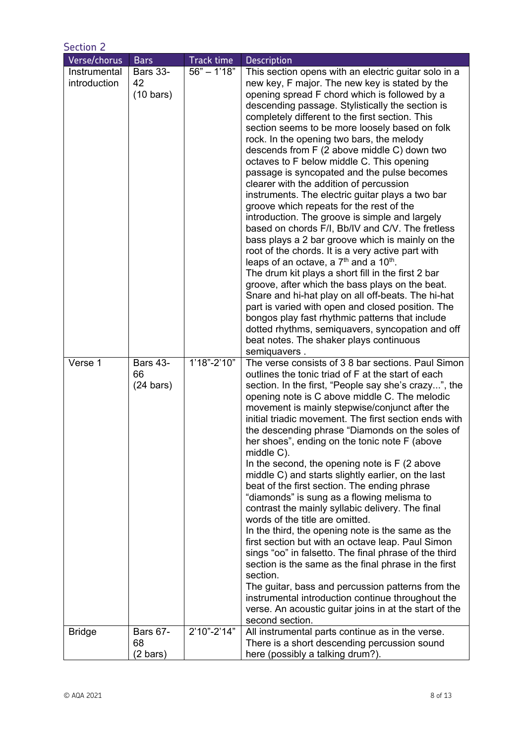| <b>Section 2</b>             |                                              |                           |                                                                                                                                                                                                                                                                                                                                                                                                                                                                                                                                                                                                                                                                                                                                                                                                                                                                                                                                                                                                                                                                                                                                                                                                                                                                                                                            |  |
|------------------------------|----------------------------------------------|---------------------------|----------------------------------------------------------------------------------------------------------------------------------------------------------------------------------------------------------------------------------------------------------------------------------------------------------------------------------------------------------------------------------------------------------------------------------------------------------------------------------------------------------------------------------------------------------------------------------------------------------------------------------------------------------------------------------------------------------------------------------------------------------------------------------------------------------------------------------------------------------------------------------------------------------------------------------------------------------------------------------------------------------------------------------------------------------------------------------------------------------------------------------------------------------------------------------------------------------------------------------------------------------------------------------------------------------------------------|--|
| Verse/chorus                 | <b>Bars</b>                                  | <b>Track time</b>         | <b>Description</b>                                                                                                                                                                                                                                                                                                                                                                                                                                                                                                                                                                                                                                                                                                                                                                                                                                                                                                                                                                                                                                                                                                                                                                                                                                                                                                         |  |
| Instrumental<br>introduction | <b>Bars 33-</b><br>42<br>$(10 \text{ bars})$ | $56" - 1'18"$             | This section opens with an electric guitar solo in a<br>new key, F major. The new key is stated by the<br>opening spread F chord which is followed by a<br>descending passage. Stylistically the section is<br>completely different to the first section. This<br>section seems to be more loosely based on folk<br>rock. In the opening two bars, the melody<br>descends from F (2 above middle C) down two<br>octaves to F below middle C. This opening<br>passage is syncopated and the pulse becomes<br>clearer with the addition of percussion<br>instruments. The electric guitar plays a two bar<br>groove which repeats for the rest of the<br>introduction. The groove is simple and largely<br>based on chords F/I, Bb/IV and C/V. The fretless<br>bass plays a 2 bar groove which is mainly on the<br>root of the chords. It is a very active part with<br>leaps of an octave, a 7 <sup>th</sup> and a 10 <sup>th</sup> .<br>The drum kit plays a short fill in the first 2 bar<br>groove, after which the bass plays on the beat.<br>Snare and hi-hat play on all off-beats. The hi-hat<br>part is varied with open and closed position. The<br>bongos play fast rhythmic patterns that include<br>dotted rhythms, semiquavers, syncopation and off<br>beat notes. The shaker plays continuous<br>semiquavers. |  |
| Verse 1                      | <b>Bars 43-</b><br>66<br>$(24 \text{ bars})$ | $\overline{1'18"}$ -2'10" | The verse consists of 3 8 bar sections. Paul Simon<br>outlines the tonic triad of F at the start of each<br>section. In the first, "People say she's crazy", the<br>opening note is C above middle C. The melodic<br>movement is mainly stepwise/conjunct after the<br>initial triadic movement. The first section ends with<br>the descending phrase "Diamonds on the soles of<br>her shoes", ending on the tonic note F (above<br>middle C).<br>In the second, the opening note is $F(2)$ above<br>middle C) and starts slightly earlier, on the last<br>beat of the first section. The ending phrase<br>"diamonds" is sung as a flowing melisma to<br>contrast the mainly syllabic delivery. The final<br>words of the title are omitted.<br>In the third, the opening note is the same as the<br>first section but with an octave leap. Paul Simon<br>sings "oo" in falsetto. The final phrase of the third<br>section is the same as the final phrase in the first<br>section.<br>The guitar, bass and percussion patterns from the<br>instrumental introduction continue throughout the<br>verse. An acoustic guitar joins in at the start of the<br>second section.                                                                                                                                                 |  |
| <b>Bridge</b>                | <b>Bars 67-</b><br>68<br>$(2 \text{ bars})$  | 2'10"-2'14"               | All instrumental parts continue as in the verse.<br>There is a short descending percussion sound<br>here (possibly a talking drum?).                                                                                                                                                                                                                                                                                                                                                                                                                                                                                                                                                                                                                                                                                                                                                                                                                                                                                                                                                                                                                                                                                                                                                                                       |  |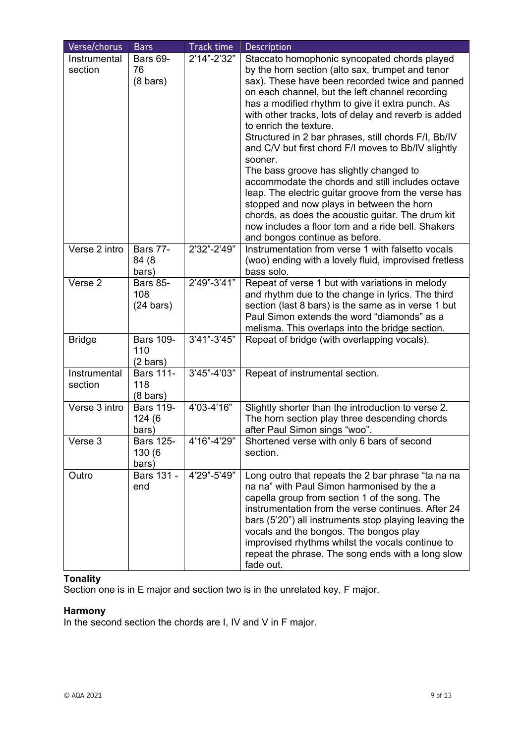| Verse/chorus                             | <b>Bars</b>                                             | Track time                 | <b>Description</b>                                                                                                                                                                                                                                                                                                                                                                                                                                                                                                                                                                                                                                                                                                                                                                                                                                                         |
|------------------------------------------|---------------------------------------------------------|----------------------------|----------------------------------------------------------------------------------------------------------------------------------------------------------------------------------------------------------------------------------------------------------------------------------------------------------------------------------------------------------------------------------------------------------------------------------------------------------------------------------------------------------------------------------------------------------------------------------------------------------------------------------------------------------------------------------------------------------------------------------------------------------------------------------------------------------------------------------------------------------------------------|
| Instrumental<br>section<br>Verse 2 intro | Bars 69-<br>76<br>$(8 \text{ bars})$<br><b>Bars 77-</b> | 2'14"-2'32"<br>2'32"-2'49" | Staccato homophonic syncopated chords played<br>by the horn section (alto sax, trumpet and tenor<br>sax). These have been recorded twice and panned<br>on each channel, but the left channel recording<br>has a modified rhythm to give it extra punch. As<br>with other tracks, lots of delay and reverb is added<br>to enrich the texture.<br>Structured in 2 bar phrases, still chords F/I, Bb/IV<br>and C/V but first chord F/I moves to Bb/IV slightly<br>sooner.<br>The bass groove has slightly changed to<br>accommodate the chords and still includes octave<br>leap. The electric guitar groove from the verse has<br>stopped and now plays in between the horn<br>chords, as does the acoustic guitar. The drum kit<br>now includes a floor tom and a ride bell. Shakers<br>and bongos continue as before.<br>Instrumentation from verse 1 with falsetto vocals |
|                                          | 84 (8<br>bars)                                          |                            | (woo) ending with a lovely fluid, improvised fretless<br>bass solo.                                                                                                                                                                                                                                                                                                                                                                                                                                                                                                                                                                                                                                                                                                                                                                                                        |
| Verse 2                                  | <b>Bars 85-</b><br>108<br>$(24 \text{ bars})$           | 2'49"-3'41"                | Repeat of verse 1 but with variations in melody<br>and rhythm due to the change in lyrics. The third<br>section (last 8 bars) is the same as in verse 1 but<br>Paul Simon extends the word "diamonds" as a<br>melisma. This overlaps into the bridge section.                                                                                                                                                                                                                                                                                                                                                                                                                                                                                                                                                                                                              |
| <b>Bridge</b>                            | <b>Bars 109-</b><br>110<br>$(2 \text{ bars})$           | $3'41" - 3'45"$            | Repeat of bridge (with overlapping vocals).                                                                                                                                                                                                                                                                                                                                                                                                                                                                                                                                                                                                                                                                                                                                                                                                                                |
| Instrumental<br>section                  | <b>Bars 111-</b><br>118<br>$(8 \text{ bars})$           | 3'45"-4'03"                | Repeat of instrumental section.                                                                                                                                                                                                                                                                                                                                                                                                                                                                                                                                                                                                                                                                                                                                                                                                                                            |
| Verse 3 intro                            | <b>Bars 119-</b><br>124 (6<br>bars)                     | 4'03-4'16"                 | Slightly shorter than the introduction to verse 2.<br>The horn section play three descending chords<br>after Paul Simon sings "woo".                                                                                                                                                                                                                                                                                                                                                                                                                                                                                                                                                                                                                                                                                                                                       |
| Verse 3                                  | <b>Bars 125-</b><br>130 (6<br>bars)                     | 4'16"-4'29"                | Shortened verse with only 6 bars of second<br>section.                                                                                                                                                                                                                                                                                                                                                                                                                                                                                                                                                                                                                                                                                                                                                                                                                     |
| Outro                                    | Bars 131 -<br>end                                       | 4'29"-5'49"                | Long outro that repeats the 2 bar phrase "ta na na<br>na na" with Paul Simon harmonised by the a<br>capella group from section 1 of the song. The<br>instrumentation from the verse continues. After 24<br>bars (5'20") all instruments stop playing leaving the<br>vocals and the bongos. The bongos play<br>improvised rhythms whilst the vocals continue to<br>repeat the phrase. The song ends with a long slow<br>fade out.                                                                                                                                                                                                                                                                                                                                                                                                                                           |

### **Tonality**

Section one is in E major and section two is in the unrelated key, F major.

#### **Harmony**

In the second section the chords are I, IV and V in F major.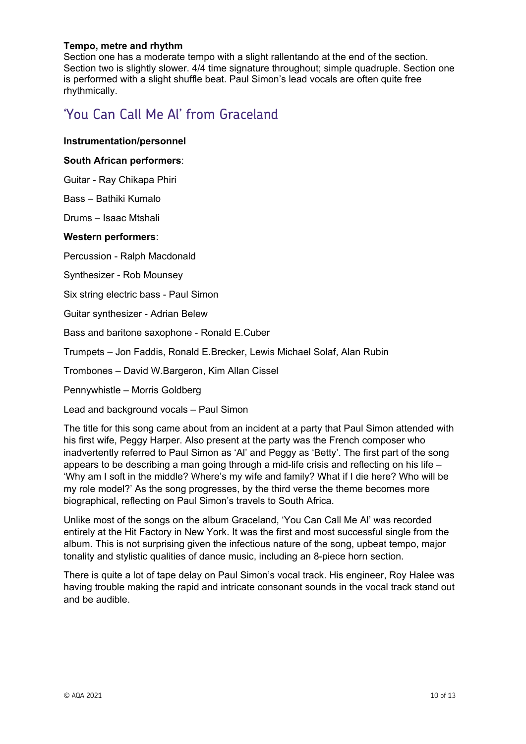#### **Tempo, metre and rhythm**

Section one has a moderate tempo with a slight rallentando at the end of the section. Section two is slightly slower. 4/4 time signature throughout; simple quadruple. Section one is performed with a slight shuffle beat. Paul Simon's lead vocals are often quite free rhythmically.

## 'You Can Call Me Al' from Graceland

#### **Instrumentation/personnel**

#### **South African performers**:

Guitar - Ray Chikapa Phiri

Bass – Bathiki Kumalo

Drums – Isaac Mtshali

#### **Western performers**:

Percussion - Ralph Macdonald

Synthesizer - Rob Mounsey

Six string electric bass - Paul Simon

Guitar synthesizer - Adrian Belew

Bass and baritone saxophone - Ronald E.Cuber

Trumpets – Jon Faddis, Ronald E.Brecker, Lewis Michael Solaf, Alan Rubin

Trombones – David W.Bargeron, Kim Allan Cissel

Pennywhistle – Morris Goldberg

Lead and background vocals – Paul Simon

The title for this song came about from an incident at a party that Paul Simon attended with his first wife, Peggy Harper. Also present at the party was the French composer who inadvertently referred to Paul Simon as 'Al' and Peggy as 'Betty'. The first part of the song appears to be describing a man going through a mid-life crisis and reflecting on his life – 'Why am I soft in the middle? Where's my wife and family? What if I die here? Who will be my role model?' As the song progresses, by the third verse the theme becomes more biographical, reflecting on Paul Simon's travels to South Africa.

Unlike most of the songs on the album Graceland, 'You Can Call Me Al' was recorded entirely at the Hit Factory in New York. It was the first and most successful single from the album. This is not surprising given the infectious nature of the song, upbeat tempo, major tonality and stylistic qualities of dance music, including an 8-piece horn section.

There is quite a lot of tape delay on Paul Simon's vocal track. His engineer, Roy Halee was having trouble making the rapid and intricate consonant sounds in the vocal track stand out and be audible.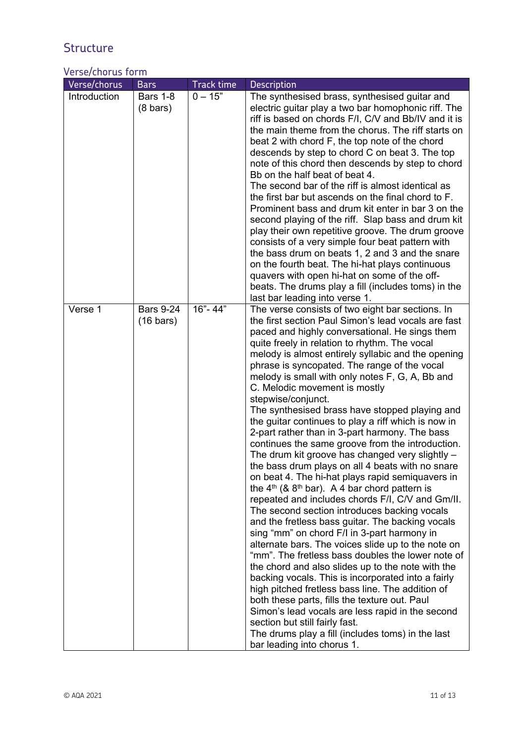# **Structure**

### Verse/chorus form

| Verse/chorus | <b>Bars</b>                             | <b>Track time</b> | Description                                                                                                                                                                                                                                                                                                                                                                                                                                                                                                                                                                                                                                                                                                                                                                                                                                                                                                                                                                                                                                                                                                                                                                                                                                                                                                                                                                                                                                                                                                                                                          |
|--------------|-----------------------------------------|-------------------|----------------------------------------------------------------------------------------------------------------------------------------------------------------------------------------------------------------------------------------------------------------------------------------------------------------------------------------------------------------------------------------------------------------------------------------------------------------------------------------------------------------------------------------------------------------------------------------------------------------------------------------------------------------------------------------------------------------------------------------------------------------------------------------------------------------------------------------------------------------------------------------------------------------------------------------------------------------------------------------------------------------------------------------------------------------------------------------------------------------------------------------------------------------------------------------------------------------------------------------------------------------------------------------------------------------------------------------------------------------------------------------------------------------------------------------------------------------------------------------------------------------------------------------------------------------------|
| Introduction | <b>Bars 1-8</b><br>$(8 \text{ bars})$   | $0 - 15"$         | The synthesised brass, synthesised guitar and<br>electric guitar play a two bar homophonic riff. The<br>riff is based on chords F/I, C/V and Bb/IV and it is<br>the main theme from the chorus. The riff starts on<br>beat 2 with chord F, the top note of the chord<br>descends by step to chord C on beat 3. The top<br>note of this chord then descends by step to chord<br>Bb on the half beat of beat 4.<br>The second bar of the riff is almost identical as<br>the first bar but ascends on the final chord to F.<br>Prominent bass and drum kit enter in bar 3 on the<br>second playing of the riff. Slap bass and drum kit<br>play their own repetitive groove. The drum groove<br>consists of a very simple four beat pattern with<br>the bass drum on beats 1, 2 and 3 and the snare<br>on the fourth beat. The hi-hat plays continuous<br>quavers with open hi-hat on some of the off-<br>beats. The drums play a fill (includes toms) in the<br>last bar leading into verse 1.                                                                                                                                                                                                                                                                                                                                                                                                                                                                                                                                                                          |
| Verse 1      | <b>Bars 9-24</b><br>$(16 \text{ bars})$ | 16"-44"           | The verse consists of two eight bar sections. In<br>the first section Paul Simon's lead vocals are fast<br>paced and highly conversational. He sings them<br>quite freely in relation to rhythm. The vocal<br>melody is almost entirely syllabic and the opening<br>phrase is syncopated. The range of the vocal<br>melody is small with only notes F, G, A, Bb and<br>C. Melodic movement is mostly<br>stepwise/conjunct.<br>The synthesised brass have stopped playing and<br>the guitar continues to play a riff which is now in<br>2-part rather than in 3-part harmony. The bass<br>continues the same groove from the introduction.<br>The drum kit groove has changed very slightly -<br>the bass drum plays on all 4 beats with no snare<br>on beat 4. The hi-hat plays rapid semiquavers in<br>the $4th$ (& $8th$ bar). A 4 bar chord pattern is<br>repeated and includes chords F/I, C/V and Gm/II.<br>The second section introduces backing vocals<br>and the fretless bass guitar. The backing vocals<br>sing "mm" on chord F/I in 3-part harmony in<br>alternate bars. The voices slide up to the note on<br>"mm". The fretless bass doubles the lower note of<br>the chord and also slides up to the note with the<br>backing vocals. This is incorporated into a fairly<br>high pitched fretless bass line. The addition of<br>both these parts, fills the texture out. Paul<br>Simon's lead vocals are less rapid in the second<br>section but still fairly fast.<br>The drums play a fill (includes toms) in the last<br>bar leading into chorus 1. |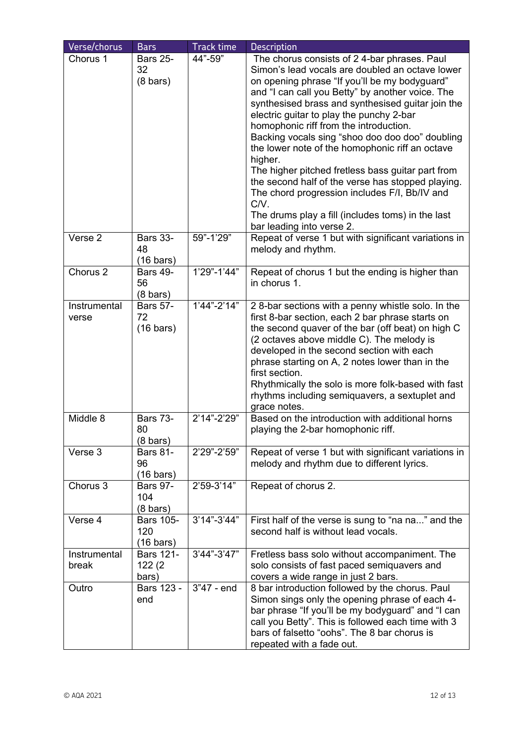| Verse/chorus<br>Chorus 1 | <b>Bars</b><br><b>Bars 25-</b><br>32<br>$(8 \text{ bars})$ | <b>Track time</b><br>44"-59" | <b>Description</b><br>The chorus consists of 24-bar phrases. Paul<br>Simon's lead vocals are doubled an octave lower<br>on opening phrase "If you'll be my bodyguard"<br>and "I can call you Betty" by another voice. The<br>synthesised brass and synthesised guitar join the<br>electric guitar to play the punchy 2-bar<br>homophonic riff from the introduction.<br>Backing vocals sing "shoo doo doo doo" doubling<br>the lower note of the homophonic riff an octave<br>higher.<br>The higher pitched fretless bass guitar part from<br>the second half of the verse has stopped playing.<br>The chord progression includes F/I, Bb/IV and<br>C/V. |
|--------------------------|------------------------------------------------------------|------------------------------|----------------------------------------------------------------------------------------------------------------------------------------------------------------------------------------------------------------------------------------------------------------------------------------------------------------------------------------------------------------------------------------------------------------------------------------------------------------------------------------------------------------------------------------------------------------------------------------------------------------------------------------------------------|
| Verse 2                  | <b>Bars 33-</b>                                            | 59"-1'29"                    | The drums play a fill (includes toms) in the last<br>bar leading into verse 2.<br>Repeat of verse 1 but with significant variations in                                                                                                                                                                                                                                                                                                                                                                                                                                                                                                                   |
|                          | 48<br>$(16 \text{ bars})$                                  |                              | melody and rhythm.                                                                                                                                                                                                                                                                                                                                                                                                                                                                                                                                                                                                                                       |
| Chorus <sub>2</sub>      | <b>Bars 49-</b><br>56<br>$(8 \text{ bars})$                | 1'29"-1'44"                  | Repeat of chorus 1 but the ending is higher than<br>in chorus 1.                                                                                                                                                                                                                                                                                                                                                                                                                                                                                                                                                                                         |
| Instrumental<br>verse    | <b>Bars 57-</b><br>72<br>$(16 \text{ bars})$               | $1'44" - 2'14"$              | 28-bar sections with a penny whistle solo. In the<br>first 8-bar section, each 2 bar phrase starts on<br>the second quaver of the bar (off beat) on high C<br>(2 octaves above middle C). The melody is<br>developed in the second section with each<br>phrase starting on A, 2 notes lower than in the<br>first section.<br>Rhythmically the solo is more folk-based with fast<br>rhythms including semiquavers, a sextuplet and<br>grace notes.                                                                                                                                                                                                        |
| Middle 8                 | <b>Bars 73-</b><br>80<br>$(8 \text{ bars})$                | 2'14"-2'29"                  | Based on the introduction with additional horns<br>playing the 2-bar homophonic riff.                                                                                                                                                                                                                                                                                                                                                                                                                                                                                                                                                                    |
| Verse 3                  | <b>Bars 81-</b><br>96<br>$(16 \text{ bars})$               | 2'29"-2'59"                  | Repeat of verse 1 but with significant variations in<br>melody and rhythm due to different lyrics.                                                                                                                                                                                                                                                                                                                                                                                                                                                                                                                                                       |
| Chorus 3                 | <b>Bars 97-</b><br>104<br>$(8 \text{ bars})$               | 2'59-3'14"                   | Repeat of chorus 2.                                                                                                                                                                                                                                                                                                                                                                                                                                                                                                                                                                                                                                      |
| Verse 4                  | <b>Bars 105-</b><br>120<br>$(16 \text{ bars})$             | $3'14" - 3'44"$              | First half of the verse is sung to "na na" and the<br>second half is without lead vocals.                                                                                                                                                                                                                                                                                                                                                                                                                                                                                                                                                                |
| Instrumental<br>break    | <b>Bars 121-</b><br>122(2)<br>bars)                        | 3'44"-3'47"                  | Fretless bass solo without accompaniment. The<br>solo consists of fast paced semiquavers and<br>covers a wide range in just 2 bars.                                                                                                                                                                                                                                                                                                                                                                                                                                                                                                                      |
| Outro                    | Bars 123 -<br>end                                          | 3"47 - end                   | 8 bar introduction followed by the chorus. Paul<br>Simon sings only the opening phrase of each 4-<br>bar phrase "If you'll be my bodyguard" and "I can<br>call you Betty". This is followed each time with 3<br>bars of falsetto "oohs". The 8 bar chorus is<br>repeated with a fade out.                                                                                                                                                                                                                                                                                                                                                                |